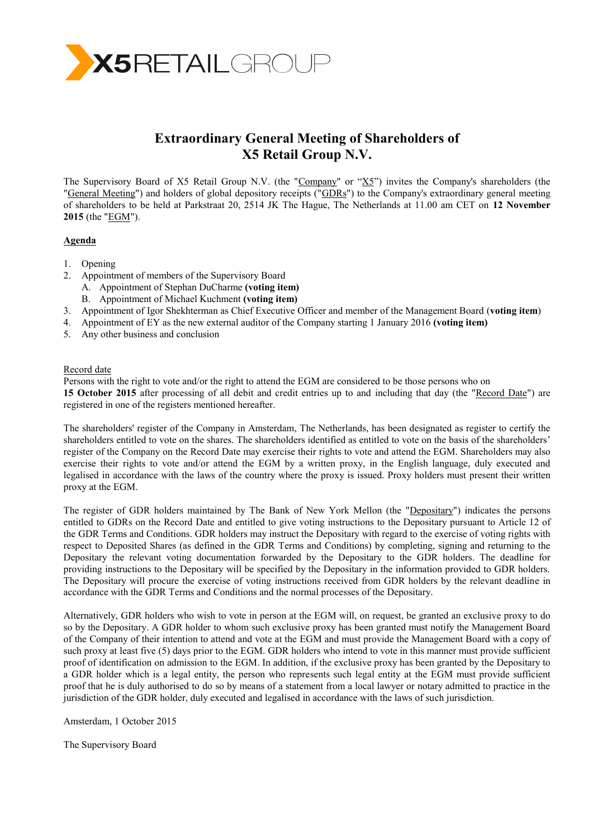

# **Extraordinary General Meeting of Shareholders of X5 Retail Group N.V.**

The Supervisory Board of X5 Retail Group N.V. (the "Company" or " $X_5$ ") invites the Company's shareholders (the "General Meeting") and holders of global depository receipts ("GDRs") to the Company's extraordinary general meeting of shareholders to be held at Parkstraat 20, 2514 JK The Hague, The Netherlands at 11.00 am CET on **12 November 2015** (the "EGM").

### **Agenda**

- 1. Opening
- 2. Appointment of members of the Supervisory Board
	- A. Appointment of Stephan DuCharme **(voting item)**
	- B. Appointment of Michael Kuchment **(voting item)**
- 3. Appointment of Igor Shekhterman as Chief Executive Officer and member of the Management Board (**voting item**)
- 4. Appointment of EY as the new external auditor of the Company starting 1 January 2016 **(voting item)**
- 5. Any other business and conclusion

## Record date

Persons with the right to vote and/or the right to attend the EGM are considered to be those persons who on **15 October 2015** after processing of all debit and credit entries up to and including that day (the "Record Date") are registered in one of the registers mentioned hereafter.

The shareholders' register of the Company in Amsterdam, The Netherlands, has been designated as register to certify the shareholders entitled to vote on the shares. The shareholders identified as entitled to vote on the basis of the shareholders' register of the Company on the Record Date may exercise their rights to vote and attend the EGM. Shareholders may also exercise their rights to vote and/or attend the EGM by a written proxy, in the English language, duly executed and legalised in accordance with the laws of the country where the proxy is issued. Proxy holders must present their written proxy at the EGM.

The register of GDR holders maintained by The Bank of New York Mellon (the "Depositary") indicates the persons entitled to GDRs on the Record Date and entitled to give voting instructions to the Depositary pursuant to Article 12 of the GDR Terms and Conditions. GDR holders may instruct the Depositary with regard to the exercise of voting rights with respect to Deposited Shares (as defined in the GDR Terms and Conditions) by completing, signing and returning to the Depositary the relevant voting documentation forwarded by the Depositary to the GDR holders. The deadline for providing instructions to the Depositary will be specified by the Depositary in the information provided to GDR holders. The Depositary will procure the exercise of voting instructions received from GDR holders by the relevant deadline in accordance with the GDR Terms and Conditions and the normal processes of the Depositary.

Alternatively, GDR holders who wish to vote in person at the EGM will, on request, be granted an exclusive proxy to do so by the Depositary. A GDR holder to whom such exclusive proxy has been granted must notify the Management Board of the Company of their intention to attend and vote at the EGM and must provide the Management Board with a copy of such proxy at least five (5) days prior to the EGM. GDR holders who intend to vote in this manner must provide sufficient proof of identification on admission to the EGM. In addition, if the exclusive proxy has been granted by the Depositary to a GDR holder which is a legal entity, the person who represents such legal entity at the EGM must provide sufficient proof that he is duly authorised to do so by means of a statement from a local lawyer or notary admitted to practice in the jurisdiction of the GDR holder, duly executed and legalised in accordance with the laws of such jurisdiction.

Amsterdam, 1 October 2015

The Supervisory Board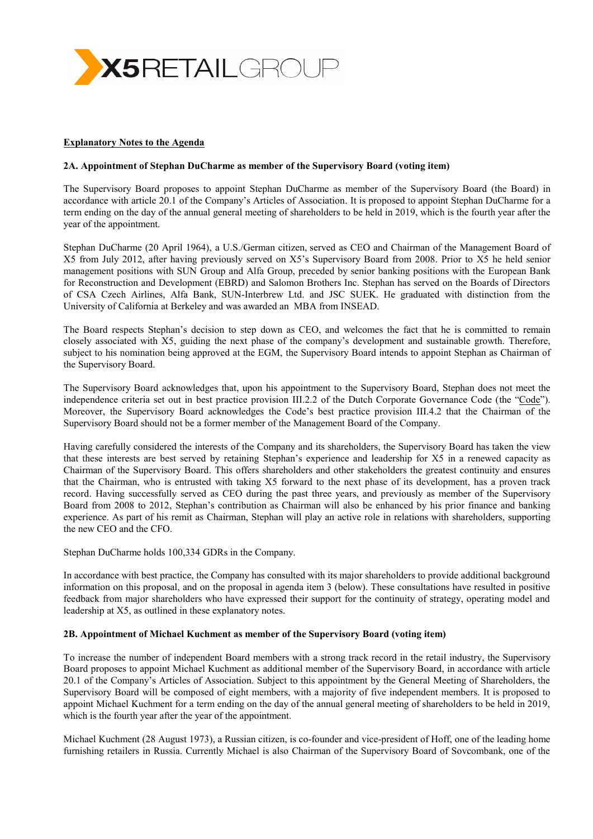

### **Explanatory Notes to the Agenda**

### **2A. Appointment of Stephan DuCharme as member of the Supervisory Board (voting item)**

The Supervisory Board proposes to appoint Stephan DuCharme as member of the Supervisory Board (the Board) in accordance with article 20.1 of the Company's Articles of Association. It is proposed to appoint Stephan DuCharme for a term ending on the day of the annual general meeting of shareholders to be held in 2019, which is the fourth year after the year of the appointment.

Stephan DuCharme (20 April 1964), a U.S./German citizen, served as CEO and Chairman of the Management Board of X5 from July 2012, after having previously served on X5's Supervisory Board from 2008. Prior to X5 he held senior management positions with SUN Group and Alfa Group, preceded by senior banking positions with the European Bank for Reconstruction and Development (EBRD) and Salomon Brothers Inc. Stephan has served on the Boards of Directors of CSA Czech Airlines, Alfa Bank, SUN-Interbrew Ltd. and JSC SUEK. He graduated with distinction from the University of California at Berkeley and was awarded an MBA from INSEAD.

The Board respects Stephan's decision to step down as CEO, and welcomes the fact that he is committed to remain closely associated with X5, guiding the next phase of the company's development and sustainable growth. Therefore, subject to his nomination being approved at the EGM, the Supervisory Board intends to appoint Stephan as Chairman of the Supervisory Board.

The Supervisory Board acknowledges that, upon his appointment to the Supervisory Board, Stephan does not meet the independence criteria set out in best practice provision III.2.2 of the Dutch Corporate Governance Code (the "Code"). Moreover, the Supervisory Board acknowledges the Code's best practice provision III.4.2 that the Chairman of the Supervisory Board should not be a former member of the Management Board of the Company.

Having carefully considered the interests of the Company and its shareholders, the Supervisory Board has taken the view that these interests are best served by retaining Stephan's experience and leadership for X5 in a renewed capacity as Chairman of the Supervisory Board. This offers shareholders and other stakeholders the greatest continuity and ensures that the Chairman, who is entrusted with taking X5 forward to the next phase of its development, has a proven track record. Having successfully served as CEO during the past three years, and previously as member of the Supervisory Board from 2008 to 2012, Stephan's contribution as Chairman will also be enhanced by his prior finance and banking experience. As part of his remit as Chairman, Stephan will play an active role in relations with shareholders, supporting the new CEO and the CFO.

Stephan DuCharme holds 100,334 GDRs in the Company.

In accordance with best practice, the Company has consulted with its major shareholders to provide additional background information on this proposal, and on the proposal in agenda item 3 (below). These consultations have resulted in positive feedback from major shareholders who have expressed their support for the continuity of strategy, operating model and leadership at X5, as outlined in these explanatory notes.

### **2B. Appointment of Michael Kuchment as member of the Supervisory Board (voting item)**

To increase the number of independent Board members with a strong track record in the retail industry, the Supervisory Board proposes to appoint Michael Kuchment as additional member of the Supervisory Board, in accordance with article 20.1 of the Company's Articles of Association. Subject to this appointment by the General Meeting of Shareholders, the Supervisory Board will be composed of eight members, with a majority of five independent members. It is proposed to appoint Michael Kuchment for a term ending on the day of the annual general meeting of shareholders to be held in 2019, which is the fourth year after the year of the appointment.

Michael Kuchment (28 August 1973), a Russian citizen, is co-founder and vice-president of Hoff, one of the leading home furnishing retailers in Russia. Currently Michael is also Chairman of the Supervisory Board of Sovcombank, one of the